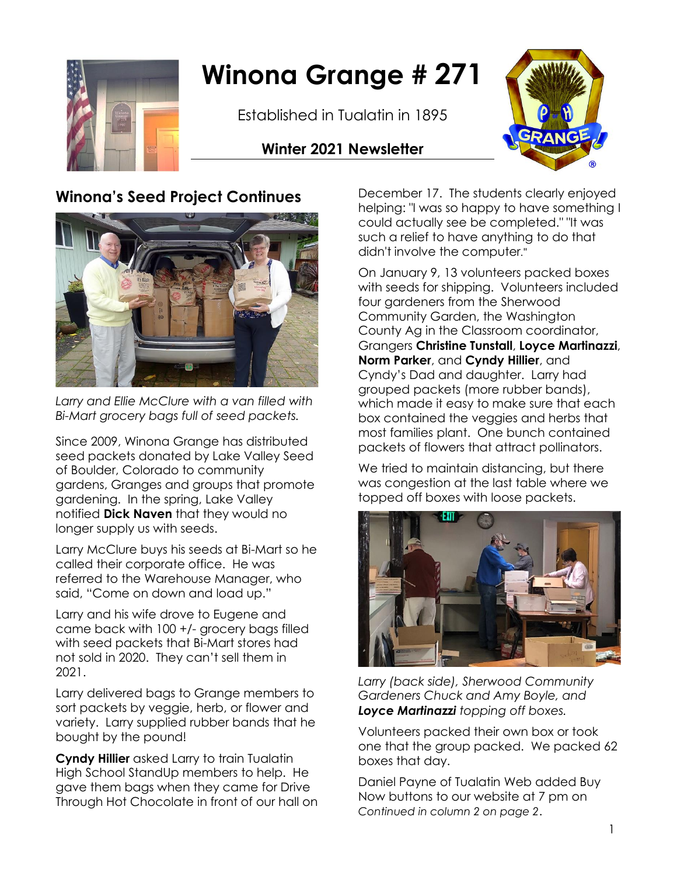

# **Winona Grange # 271**

Established in Tualatin in 1895

#### **Winter 2021 Newsletter**



#### **Winona's Seed Project Continues**



*Larry and Ellie McClure with a van filled with Bi-Mart grocery bags full of seed packets.*

Since 2009, Winona Grange has distributed seed packets donated by Lake Valley Seed of Boulder, Colorado to community gardens, Granges and groups that promote gardening. In the spring, Lake Valley notified **Dick Naven** that they would no longer supply us with seeds.

Larry McClure buys his seeds at Bi-Mart so he called their corporate office. He was referred to the Warehouse Manager, who said, "Come on down and load up."

Larry and his wife drove to Eugene and came back with 100 +/- grocery bags filled with seed packets that Bi-Mart stores had not sold in 2020. They can't sell them in 2021.

Larry delivered bags to Grange members to sort packets by veggie, herb, or flower and variety. Larry supplied rubber bands that he bought by the pound!

**Cyndy Hillier** asked Larry to train Tualatin High School StandUp members to help. He gave them bags when they came for Drive Through Hot Chocolate in front of our hall on December 17. The students clearly enjoyed helping: "I was so happy to have something I could actually see be completed." "It was such a relief to have anything to do that didn't involve the computer."

On January 9, 13 volunteers packed boxes with seeds for shipping. Volunteers included four gardeners from the Sherwood Community Garden, the Washington County Ag in the Classroom coordinator, Grangers **Christine Tunstall**, **Loyce Martinazzi**, **Norm Parker**, and **Cyndy Hillier**, and Cyndy's Dad and daughter. Larry had grouped packets (more rubber bands), which made it easy to make sure that each box contained the veggies and herbs that most families plant. One bunch contained packets of flowers that attract pollinators.

We tried to maintain distancing, but there was congestion at the last table where we topped off boxes with loose packets.



*Larry (back side), Sherwood Community Gardeners Chuck and Amy Boyle, and Loyce Martinazzi topping off boxes.*

Volunteers packed their own box or took one that the group packed. We packed 62 boxes that day.

Daniel Payne of Tualatin Web added Buy Now buttons to our website at 7 pm on *Continued in column 2 on page 2*.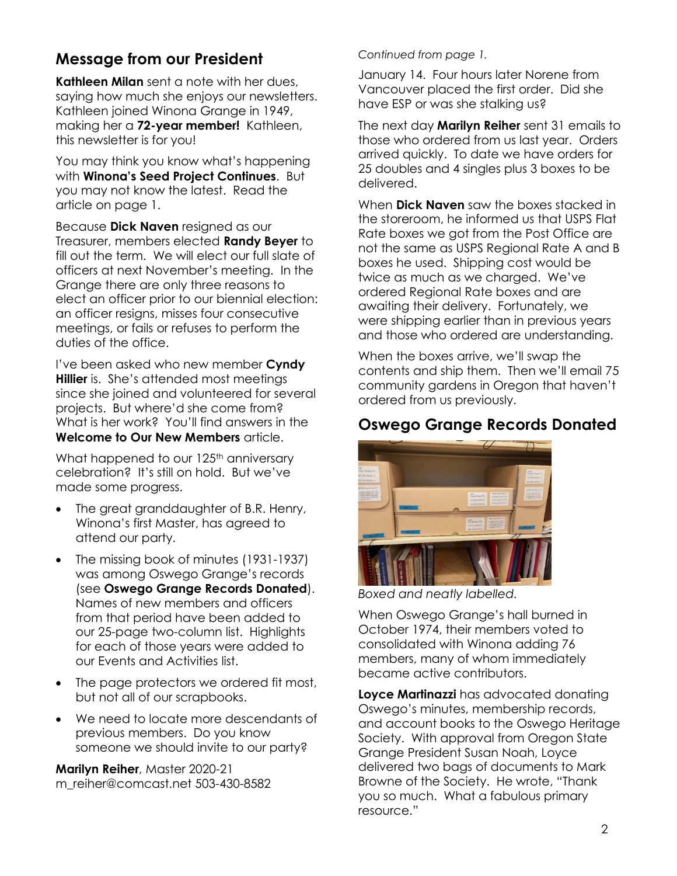### **Message from our President**

**Kathleen Milan** sent a note with her dues, saying how much she enjoys our newsletters. Kathleen joined Winona Grange in 1949, making her a **72-year member!** Kathleen, this newsletter is for you!

You may think you know what's happening with **Winona's Seed Project Continues**. But you may not know the latest. Read the article on page 1.

Because **Dick Naven** resigned as our Treasurer, members elected **Randy Beyer** to fill out the term. We will elect our full slate of officers at next November's meeting. In the Grange there are only three reasons to elect an officer prior to our biennial election: an officer resigns, misses four consecutive meetings, or fails or refuses to perform the duties of the office.

I've been asked who new member **Cyndy Hillier** is. She's attended most meetings since she joined and volunteered for several projects. But where'd she come from? What is her work? You'll find answers in the **Welcome to Our New Members** article.

What happened to our 125<sup>th</sup> anniversary celebration? It's still on hold. But we've made some progress.

- The great granddaughter of B.R. Henry, Winona's first Master, has agreed to attend our party.
- The missing book of minutes (1931-1937) was among Oswego Grange's records (see **Oswego Grange Records Donated**). Names of new members and officers from that period have been added to our 25-page two-column list. Highlights for each of those years were added to our Events and Activities list.
- The page protectors we ordered fit most, but not all of our scrapbooks.
- We need to locate more descendants of previous members. Do you know someone we should invite to our party?

**Marilyn Reiher**, Master 2020-21 m\_reiher@comcast.net 503-430-8582

#### *Continued from page 1.*

January 14. Four hours later Norene from Vancouver placed the first order. Did she have ESP or was she stalking us?

The next day **Marilyn Reiher** sent 31 emails to those who ordered from us last year. Orders arrived quickly. To date we have orders for 25 doubles and 4 singles plus 3 boxes to be delivered.

When **Dick Naven** saw the boxes stacked in the storeroom, he informed us that USPS Flat Rate boxes we got from the Post Office are not the same as USPS Regional Rate A and B boxes he used. Shipping cost would be twice as much as we charged. We've ordered Regional Rate boxes and are awaiting their delivery. Fortunately, we were shipping earlier than in previous years and those who ordered are understanding.

When the boxes arrive, we'll swap the contents and ship them. Then we'll email 75 community gardens in Oregon that haven't ordered from us previously.

#### **Oswego Grange Records Donated**



*Boxed and neatly labelled.* 

When Oswego Grange's hall burned in October 1974, their members voted to consolidated with Winona adding 76 members, many of whom immediately became active contributors.

**Loyce Martinazzi** has advocated donating Oswego's minutes, membership records, and account books to the Oswego Heritage Society. With approval from Oregon State Grange President Susan Noah, Loyce delivered two bags of documents to Mark Browne of the Society. He wrote, "Thank you so much. What a fabulous primary resource."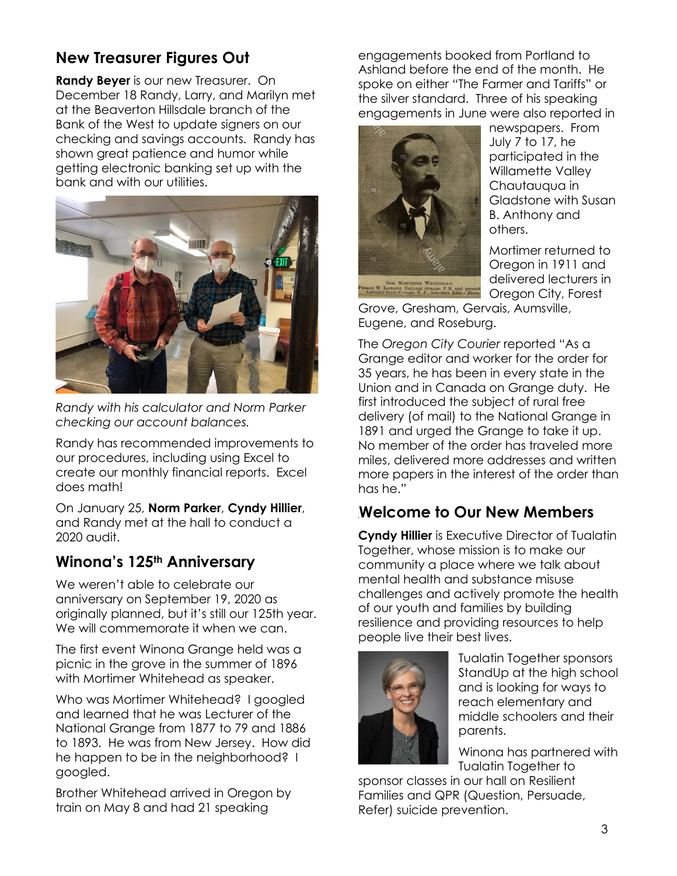## **New Treasurer Figures Out**

**Randy Beyer** is our new Treasurer. On December 18 Randy, Larry, and Marilyn met at the Beaverton Hillsdale branch of the Bank of the West to update signers on our checking and savings accounts. Randy has shown great patience and humor while getting electronic banking set up with the bank and with our utilities.



*Randy with his calculator and Norm Parker checking our account balances.*

Randy has recommended improvements to our procedures, including using Excel to create our monthly financial reports. Excel does math!

On January 25, **Norm Parker**, **Cyndy Hillier**, and Randy met at the hall to conduct a 2020 audit.

#### **Winona's 125th Anniversary**

We weren't able to celebrate our anniversary on September 19, 2020 as originally planned, but it's still our 125th year. We will commemorate it when we can.

The first event Winona Grange held was a picnic in the grove in the summer of 1896 with Mortimer Whitehead as speaker.

Who was Mortimer Whitehead? I googled and learned that he was Lecturer of the National Grange from 1877 to 79 and 1886 to 1893. He was from New Jersey. How did he happen to be in the neighborhood? I googled.

Brother Whitehead arrived in Oregon by train on May 8 and had 21 speaking

engagements booked from Portland to Ashland before the end of the month. He spoke on either "The Farmer and Tariffs" or the silver standard. Three of his speaking engagements in June were also reported in



newspapers. From July 7 to 17, he participated in the Willamette Valley Chautauqua in Gladstone with Susan B. Anthony and others.

Mortimer returned to Oregon in 1911 and delivered lecturers in Oregon City, Forest

Grove, Gresham, Gervais, Aumsville, Eugene, and Roseburg.

The *Oregon City Courier* reported "As a Grange editor and worker for the order for 35 years, he has been in every state in the Union and in Canada on Grange duty. He first introduced the subject of rural free delivery (of mail) to the National Grange in 1891 and urged the Grange to take it up. No member of the order has traveled more miles, delivered more addresses and written more papers in the interest of the order than has he."

#### **Welcome to Our New Members**

**Cyndy Hillier** is Executive Director of Tualatin Together, whose mission is to make our community a place where we talk about mental health and substance misuse challenges and actively promote the health of our youth and families by building resilience and providing resources to help people live their best lives.



Tualatin Together sponsors StandUp at the high school and is looking for ways to reach elementary and middle schoolers and their parents.

Winona has partnered with Tualatin Together to

sponsor classes in our hall on Resilient Families and QPR (Question, Persuade, Refer) suicide prevention.